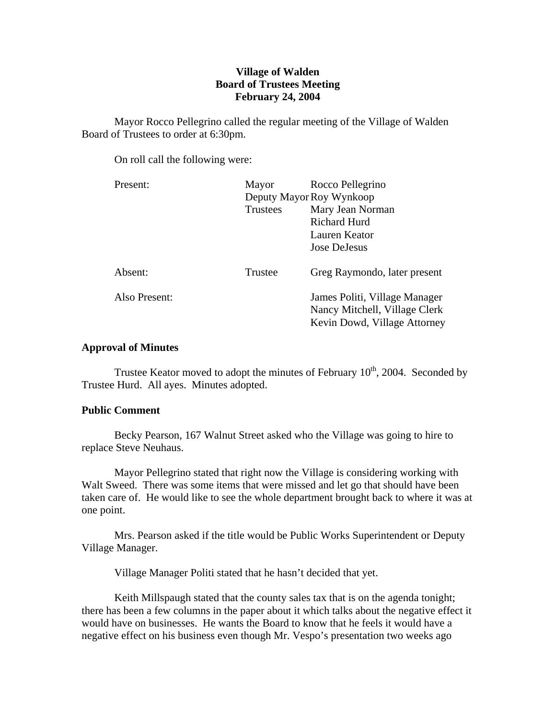# **Village of Walden Board of Trustees Meeting February 24, 2004**

 Mayor Rocco Pellegrino called the regular meeting of the Village of Walden Board of Trustees to order at 6:30pm.

On roll call the following were:

| Present:      | Mayor                    | Rocco Pellegrino                                                                               |
|---------------|--------------------------|------------------------------------------------------------------------------------------------|
|               | Deputy Mayor Roy Wynkoop |                                                                                                |
|               | <b>Trustees</b>          | Mary Jean Norman                                                                               |
|               |                          | Richard Hurd                                                                                   |
|               |                          | Lauren Keator                                                                                  |
|               |                          | Jose DeJesus                                                                                   |
| Absent:       | Trustee                  | Greg Raymondo, later present                                                                   |
| Also Present: |                          | James Politi, Village Manager<br>Nancy Mitchell, Village Clerk<br>Kevin Dowd, Village Attorney |

# **Approval of Minutes**

Trustee Keator moved to adopt the minutes of February  $10^{th}$ , 2004. Seconded by Trustee Hurd. All ayes. Minutes adopted.

## **Public Comment**

Becky Pearson, 167 Walnut Street asked who the Village was going to hire to replace Steve Neuhaus.

 Mayor Pellegrino stated that right now the Village is considering working with Walt Sweed. There was some items that were missed and let go that should have been taken care of. He would like to see the whole department brought back to where it was at one point.

 Mrs. Pearson asked if the title would be Public Works Superintendent or Deputy Village Manager.

Village Manager Politi stated that he hasn't decided that yet.

Keith Millspaugh stated that the county sales tax that is on the agenda tonight; there has been a few columns in the paper about it which talks about the negative effect it would have on businesses. He wants the Board to know that he feels it would have a negative effect on his business even though Mr. Vespo's presentation two weeks ago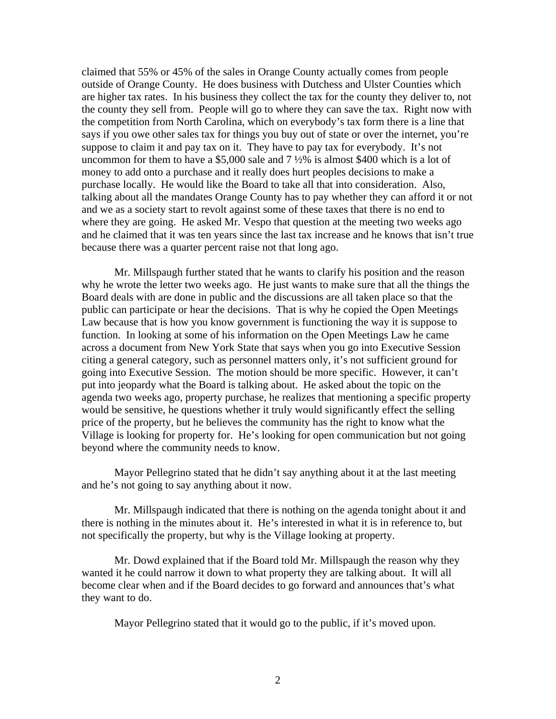claimed that 55% or 45% of the sales in Orange County actually comes from people outside of Orange County. He does business with Dutchess and Ulster Counties which are higher tax rates. In his business they collect the tax for the county they deliver to, not the county they sell from. People will go to where they can save the tax. Right now with the competition from North Carolina, which on everybody's tax form there is a line that says if you owe other sales tax for things you buy out of state or over the internet, you're suppose to claim it and pay tax on it. They have to pay tax for everybody. It's not uncommon for them to have a \$5,000 sale and  $7\frac{1}{2}\%$  is almost \$400 which is a lot of money to add onto a purchase and it really does hurt peoples decisions to make a purchase locally. He would like the Board to take all that into consideration. Also, talking about all the mandates Orange County has to pay whether they can afford it or not and we as a society start to revolt against some of these taxes that there is no end to where they are going. He asked Mr. Vespo that question at the meeting two weeks ago and he claimed that it was ten years since the last tax increase and he knows that isn't true because there was a quarter percent raise not that long ago.

 Mr. Millspaugh further stated that he wants to clarify his position and the reason why he wrote the letter two weeks ago. He just wants to make sure that all the things the Board deals with are done in public and the discussions are all taken place so that the public can participate or hear the decisions. That is why he copied the Open Meetings Law because that is how you know government is functioning the way it is suppose to function. In looking at some of his information on the Open Meetings Law he came across a document from New York State that says when you go into Executive Session citing a general category, such as personnel matters only, it's not sufficient ground for going into Executive Session. The motion should be more specific. However, it can't put into jeopardy what the Board is talking about. He asked about the topic on the agenda two weeks ago, property purchase, he realizes that mentioning a specific property would be sensitive, he questions whether it truly would significantly effect the selling price of the property, but he believes the community has the right to know what the Village is looking for property for. He's looking for open communication but not going beyond where the community needs to know.

 Mayor Pellegrino stated that he didn't say anything about it at the last meeting and he's not going to say anything about it now.

 Mr. Millspaugh indicated that there is nothing on the agenda tonight about it and there is nothing in the minutes about it. He's interested in what it is in reference to, but not specifically the property, but why is the Village looking at property.

 Mr. Dowd explained that if the Board told Mr. Millspaugh the reason why they wanted it he could narrow it down to what property they are talking about. It will all become clear when and if the Board decides to go forward and announces that's what they want to do.

Mayor Pellegrino stated that it would go to the public, if it's moved upon.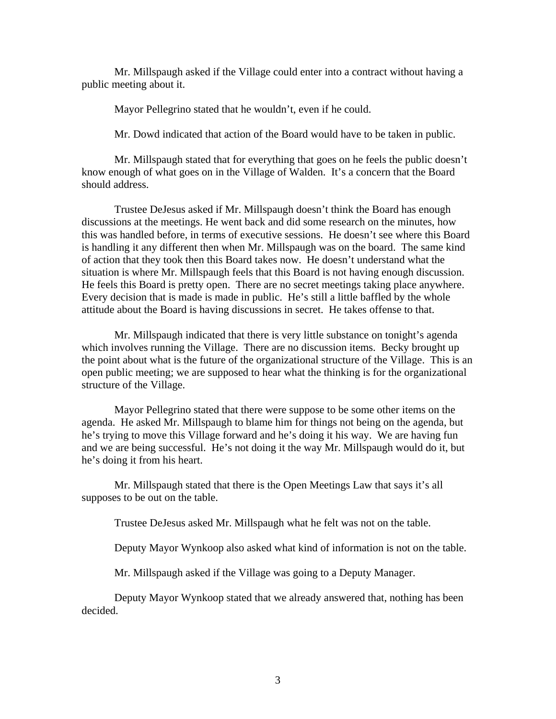Mr. Millspaugh asked if the Village could enter into a contract without having a public meeting about it.

Mayor Pellegrino stated that he wouldn't, even if he could.

Mr. Dowd indicated that action of the Board would have to be taken in public.

 Mr. Millspaugh stated that for everything that goes on he feels the public doesn't know enough of what goes on in the Village of Walden. It's a concern that the Board should address.

 Trustee DeJesus asked if Mr. Millspaugh doesn't think the Board has enough discussions at the meetings. He went back and did some research on the minutes, how this was handled before, in terms of executive sessions. He doesn't see where this Board is handling it any different then when Mr. Millspaugh was on the board. The same kind of action that they took then this Board takes now. He doesn't understand what the situation is where Mr. Millspaugh feels that this Board is not having enough discussion. He feels this Board is pretty open. There are no secret meetings taking place anywhere. Every decision that is made is made in public. He's still a little baffled by the whole attitude about the Board is having discussions in secret. He takes offense to that.

 Mr. Millspaugh indicated that there is very little substance on tonight's agenda which involves running the Village. There are no discussion items. Becky brought up the point about what is the future of the organizational structure of the Village. This is an open public meeting; we are supposed to hear what the thinking is for the organizational structure of the Village.

 Mayor Pellegrino stated that there were suppose to be some other items on the agenda. He asked Mr. Millspaugh to blame him for things not being on the agenda, but he's trying to move this Village forward and he's doing it his way. We are having fun and we are being successful. He's not doing it the way Mr. Millspaugh would do it, but he's doing it from his heart.

 Mr. Millspaugh stated that there is the Open Meetings Law that says it's all supposes to be out on the table.

Trustee DeJesus asked Mr. Millspaugh what he felt was not on the table.

Deputy Mayor Wynkoop also asked what kind of information is not on the table.

Mr. Millspaugh asked if the Village was going to a Deputy Manager.

 Deputy Mayor Wynkoop stated that we already answered that, nothing has been decided.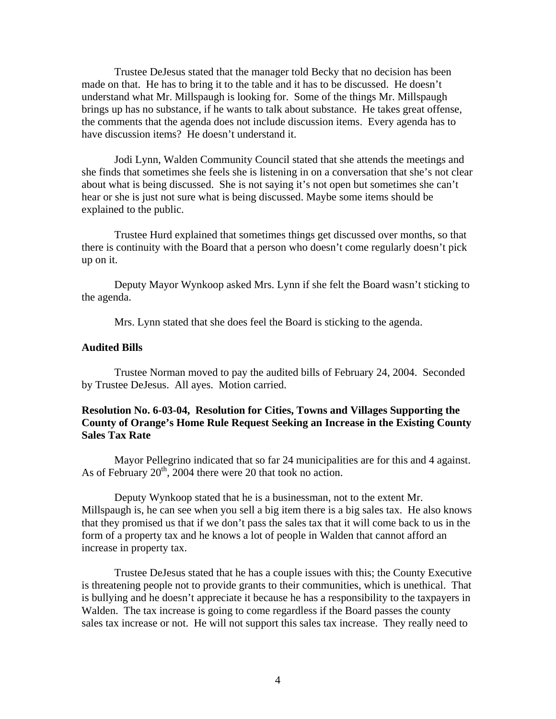Trustee DeJesus stated that the manager told Becky that no decision has been made on that. He has to bring it to the table and it has to be discussed. He doesn't understand what Mr. Millspaugh is looking for. Some of the things Mr. Millspaugh brings up has no substance, if he wants to talk about substance. He takes great offense, the comments that the agenda does not include discussion items. Every agenda has to have discussion items? He doesn't understand it.

 Jodi Lynn, Walden Community Council stated that she attends the meetings and she finds that sometimes she feels she is listening in on a conversation that she's not clear about what is being discussed. She is not saying it's not open but sometimes she can't hear or she is just not sure what is being discussed. Maybe some items should be explained to the public.

 Trustee Hurd explained that sometimes things get discussed over months, so that there is continuity with the Board that a person who doesn't come regularly doesn't pick up on it.

 Deputy Mayor Wynkoop asked Mrs. Lynn if she felt the Board wasn't sticking to the agenda.

Mrs. Lynn stated that she does feel the Board is sticking to the agenda.

## **Audited Bills**

Trustee Norman moved to pay the audited bills of February 24, 2004. Seconded by Trustee DeJesus. All ayes. Motion carried.

# **Resolution No. 6-03-04, Resolution for Cities, Towns and Villages Supporting the County of Orange's Home Rule Request Seeking an Increase in the Existing County Sales Tax Rate**

Mayor Pellegrino indicated that so far 24 municipalities are for this and 4 against. As of February  $20<sup>th</sup>$ , 2004 there were 20 that took no action.

 Deputy Wynkoop stated that he is a businessman, not to the extent Mr. Millspaugh is, he can see when you sell a big item there is a big sales tax. He also knows that they promised us that if we don't pass the sales tax that it will come back to us in the form of a property tax and he knows a lot of people in Walden that cannot afford an increase in property tax.

 Trustee DeJesus stated that he has a couple issues with this; the County Executive is threatening people not to provide grants to their communities, which is unethical. That is bullying and he doesn't appreciate it because he has a responsibility to the taxpayers in Walden. The tax increase is going to come regardless if the Board passes the county sales tax increase or not. He will not support this sales tax increase. They really need to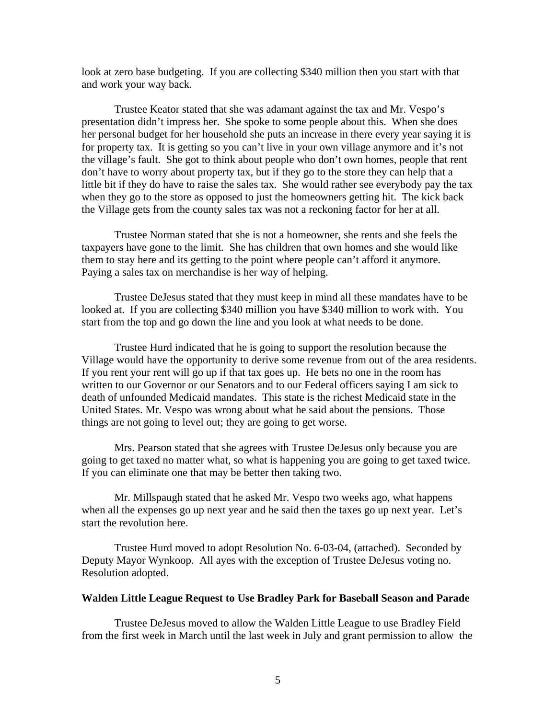look at zero base budgeting. If you are collecting \$340 million then you start with that and work your way back.

 Trustee Keator stated that she was adamant against the tax and Mr. Vespo's presentation didn't impress her. She spoke to some people about this. When she does her personal budget for her household she puts an increase in there every year saying it is for property tax. It is getting so you can't live in your own village anymore and it's not the village's fault. She got to think about people who don't own homes, people that rent don't have to worry about property tax, but if they go to the store they can help that a little bit if they do have to raise the sales tax. She would rather see everybody pay the tax when they go to the store as opposed to just the homeowners getting hit. The kick back the Village gets from the county sales tax was not a reckoning factor for her at all.

Trustee Norman stated that she is not a homeowner, she rents and she feels the taxpayers have gone to the limit. She has children that own homes and she would like them to stay here and its getting to the point where people can't afford it anymore. Paying a sales tax on merchandise is her way of helping.

 Trustee DeJesus stated that they must keep in mind all these mandates have to be looked at. If you are collecting \$340 million you have \$340 million to work with. You start from the top and go down the line and you look at what needs to be done.

 Trustee Hurd indicated that he is going to support the resolution because the Village would have the opportunity to derive some revenue from out of the area residents. If you rent your rent will go up if that tax goes up. He bets no one in the room has written to our Governor or our Senators and to our Federal officers saying I am sick to death of unfounded Medicaid mandates. This state is the richest Medicaid state in the United States. Mr. Vespo was wrong about what he said about the pensions. Those things are not going to level out; they are going to get worse.

 Mrs. Pearson stated that she agrees with Trustee DeJesus only because you are going to get taxed no matter what, so what is happening you are going to get taxed twice. If you can eliminate one that may be better then taking two.

 Mr. Millspaugh stated that he asked Mr. Vespo two weeks ago, what happens when all the expenses go up next year and he said then the taxes go up next year. Let's start the revolution here.

Trustee Hurd moved to adopt Resolution No. 6-03-04, (attached). Seconded by Deputy Mayor Wynkoop. All ayes with the exception of Trustee DeJesus voting no. Resolution adopted.

## **Walden Little League Request to Use Bradley Park for Baseball Season and Parade**

Trustee DeJesus moved to allow the Walden Little League to use Bradley Field from the first week in March until the last week in July and grant permission to allow the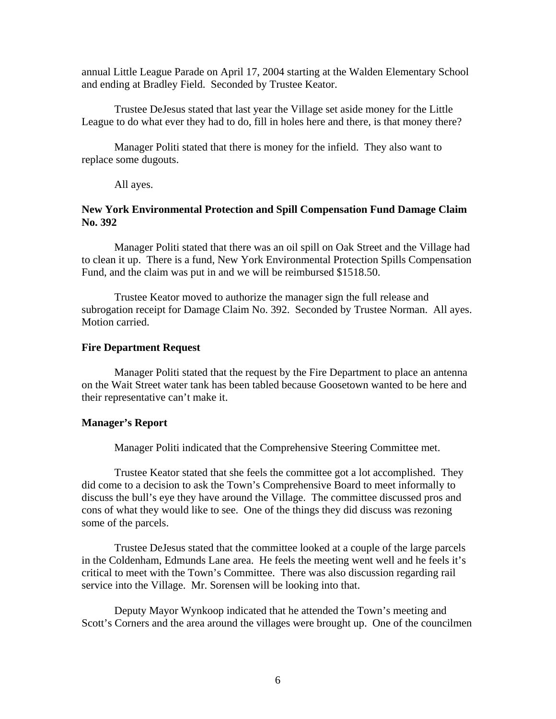annual Little League Parade on April 17, 2004 starting at the Walden Elementary School and ending at Bradley Field. Seconded by Trustee Keator.

 Trustee DeJesus stated that last year the Village set aside money for the Little League to do what ever they had to do, fill in holes here and there, is that money there?

 Manager Politi stated that there is money for the infield. They also want to replace some dugouts.

All ayes.

# **New York Environmental Protection and Spill Compensation Fund Damage Claim No. 392**

Manager Politi stated that there was an oil spill on Oak Street and the Village had to clean it up. There is a fund, New York Environmental Protection Spills Compensation Fund, and the claim was put in and we will be reimbursed \$1518.50.

Trustee Keator moved to authorize the manager sign the full release and subrogation receipt for Damage Claim No. 392. Seconded by Trustee Norman. All ayes. Motion carried.

#### **Fire Department Request**

Manager Politi stated that the request by the Fire Department to place an antenna on the Wait Street water tank has been tabled because Goosetown wanted to be here and their representative can't make it.

#### **Manager's Report**

Manager Politi indicated that the Comprehensive Steering Committee met.

 Trustee Keator stated that she feels the committee got a lot accomplished. They did come to a decision to ask the Town's Comprehensive Board to meet informally to discuss the bull's eye they have around the Village. The committee discussed pros and cons of what they would like to see. One of the things they did discuss was rezoning some of the parcels.

 Trustee DeJesus stated that the committee looked at a couple of the large parcels in the Coldenham, Edmunds Lane area. He feels the meeting went well and he feels it's critical to meet with the Town's Committee. There was also discussion regarding rail service into the Village. Mr. Sorensen will be looking into that.

 Deputy Mayor Wynkoop indicated that he attended the Town's meeting and Scott's Corners and the area around the villages were brought up. One of the councilmen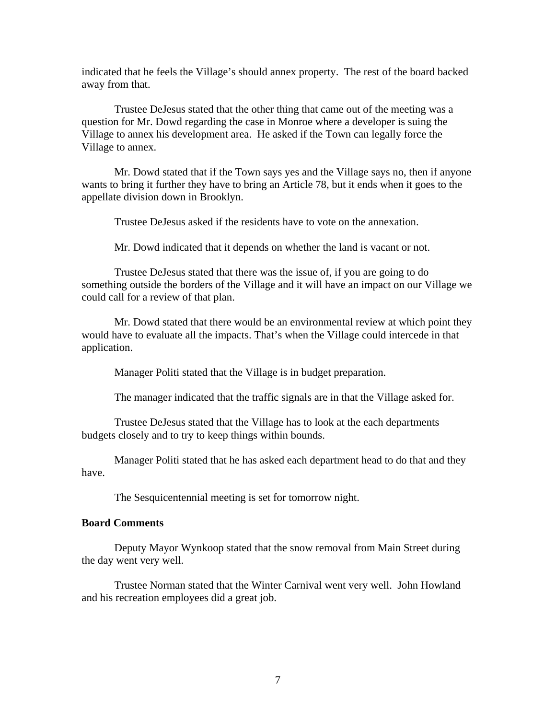indicated that he feels the Village's should annex property. The rest of the board backed away from that.

 Trustee DeJesus stated that the other thing that came out of the meeting was a question for Mr. Dowd regarding the case in Monroe where a developer is suing the Village to annex his development area. He asked if the Town can legally force the Village to annex.

 Mr. Dowd stated that if the Town says yes and the Village says no, then if anyone wants to bring it further they have to bring an Article 78, but it ends when it goes to the appellate division down in Brooklyn.

Trustee DeJesus asked if the residents have to vote on the annexation.

Mr. Dowd indicated that it depends on whether the land is vacant or not.

 Trustee DeJesus stated that there was the issue of, if you are going to do something outside the borders of the Village and it will have an impact on our Village we could call for a review of that plan.

 Mr. Dowd stated that there would be an environmental review at which point they would have to evaluate all the impacts. That's when the Village could intercede in that application.

Manager Politi stated that the Village is in budget preparation.

The manager indicated that the traffic signals are in that the Village asked for.

 Trustee DeJesus stated that the Village has to look at the each departments budgets closely and to try to keep things within bounds.

 Manager Politi stated that he has asked each department head to do that and they have.

The Sesquicentennial meeting is set for tomorrow night.

# **Board Comments**

 Deputy Mayor Wynkoop stated that the snow removal from Main Street during the day went very well.

 Trustee Norman stated that the Winter Carnival went very well. John Howland and his recreation employees did a great job.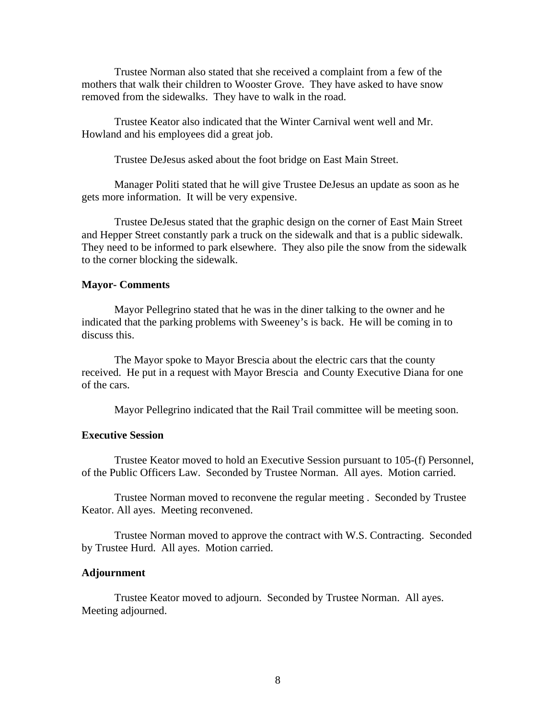Trustee Norman also stated that she received a complaint from a few of the mothers that walk their children to Wooster Grove. They have asked to have snow removed from the sidewalks. They have to walk in the road.

 Trustee Keator also indicated that the Winter Carnival went well and Mr. Howland and his employees did a great job.

Trustee DeJesus asked about the foot bridge on East Main Street.

 Manager Politi stated that he will give Trustee DeJesus an update as soon as he gets more information. It will be very expensive.

 Trustee DeJesus stated that the graphic design on the corner of East Main Street and Hepper Street constantly park a truck on the sidewalk and that is a public sidewalk. They need to be informed to park elsewhere. They also pile the snow from the sidewalk to the corner blocking the sidewalk.

## **Mayor- Comments**

Mayor Pellegrino stated that he was in the diner talking to the owner and he indicated that the parking problems with Sweeney's is back. He will be coming in to discuss this.

 The Mayor spoke to Mayor Brescia about the electric cars that the county received. He put in a request with Mayor Brescia and County Executive Diana for one of the cars.

Mayor Pellegrino indicated that the Rail Trail committee will be meeting soon.

# **Executive Session**

Trustee Keator moved to hold an Executive Session pursuant to 105-(f) Personnel, of the Public Officers Law. Seconded by Trustee Norman. All ayes. Motion carried.

 Trustee Norman moved to reconvene the regular meeting . Seconded by Trustee Keator. All ayes. Meeting reconvened.

 Trustee Norman moved to approve the contract with W.S. Contracting. Seconded by Trustee Hurd. All ayes. Motion carried.

#### **Adjournment**

Trustee Keator moved to adjourn. Seconded by Trustee Norman. All ayes. Meeting adjourned.